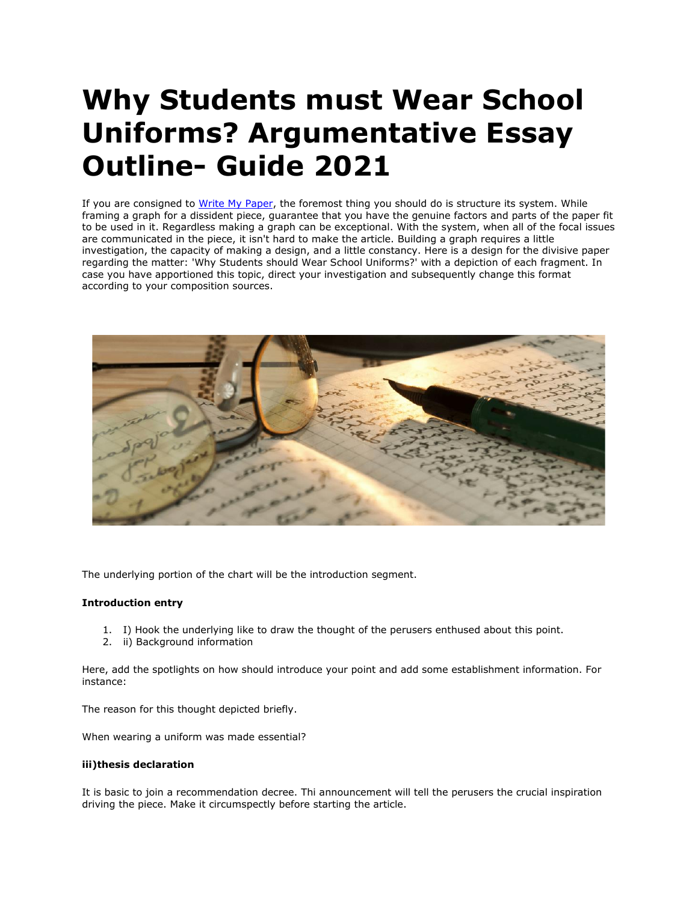# **Why Students must Wear School Uniforms? Argumentative Essay Outline- Guide 2021**

If you are consigned to [Write My Paper,](https://www.myperfectpaper.net/) the foremost thing you should do is structure its system. While framing a graph for a dissident piece, guarantee that you have the genuine factors and parts of the paper fit to be used in it. Regardless making a graph can be exceptional. With the system, when all of the focal issues are communicated in the piece, it isn't hard to make the article. Building a graph requires a little investigation, the capacity of making a design, and a little constancy. Here is a design for the divisive paper regarding the matter: 'Why Students should Wear School Uniforms?' with a depiction of each fragment. In case you have apportioned this topic, direct your investigation and subsequently change this format according to your composition sources.



The underlying portion of the chart will be the introduction segment.

## **Introduction entry**

- 1. I) Hook the underlying like to draw the thought of the perusers enthused about this point.
- 2. ii) Background information

Here, add the spotlights on how should introduce your point and add some establishment information. For instance:

The reason for this thought depicted briefly.

When wearing a uniform was made essential?

## **iii)thesis declaration**

It is basic to join a recommendation decree. Thi announcement will tell the perusers the crucial inspiration driving the piece. Make it circumspectly before starting the article.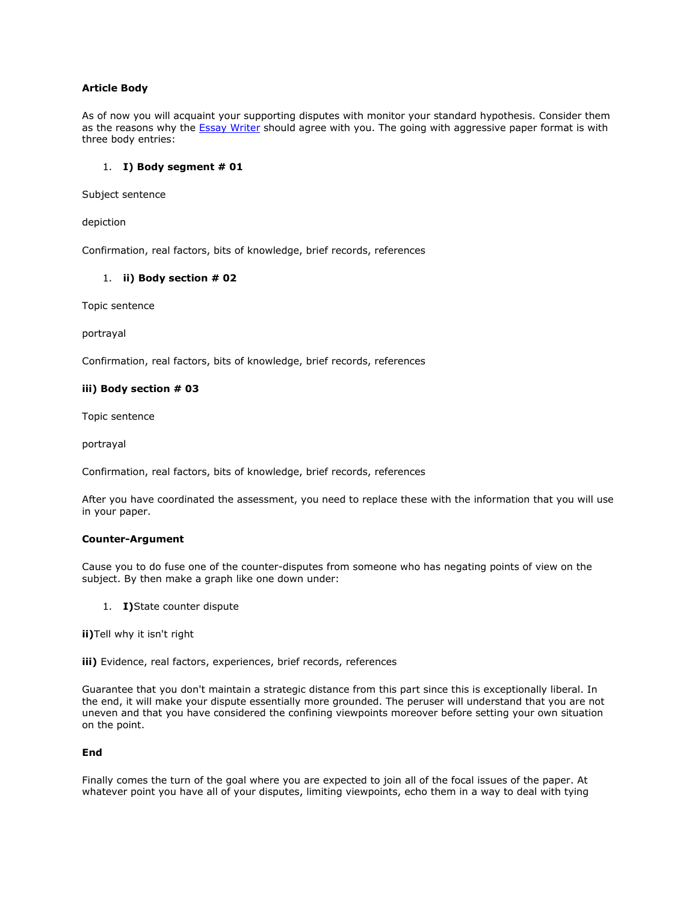## **Article Body**

As of now you will acquaint your supporting disputes with monitor your standard hypothesis. Consider them as the reasons why the **[Essay Writer](https://www.myperfectpaper.net/) should agree with you.** The going with aggressive paper format is with three body entries:

## 1. **I) Body segment # 01**

Subject sentence

depiction

Confirmation, real factors, bits of knowledge, brief records, references

## 1. **ii) Body section # 02**

Topic sentence

portrayal

Confirmation, real factors, bits of knowledge, brief records, references

## **iii) Body section # 03**

Topic sentence

portrayal

Confirmation, real factors, bits of knowledge, brief records, references

After you have coordinated the assessment, you need to replace these with the information that you will use in your paper.

## **Counter-Argument**

Cause you to do fuse one of the counter-disputes from someone who has negating points of view on the subject. By then make a graph like one down under:

1. **I)**State counter dispute

**ii)**Tell why it isn't right

**iii)** Evidence, real factors, experiences, brief records, references

Guarantee that you don't maintain a strategic distance from this part since this is exceptionally liberal. In the end, it will make your dispute essentially more grounded. The peruser will understand that you are not uneven and that you have considered the confining viewpoints moreover before setting your own situation on the point.

## **End**

Finally comes the turn of the goal where you are expected to join all of the focal issues of the paper. At whatever point you have all of your disputes, limiting viewpoints, echo them in a way to deal with tying